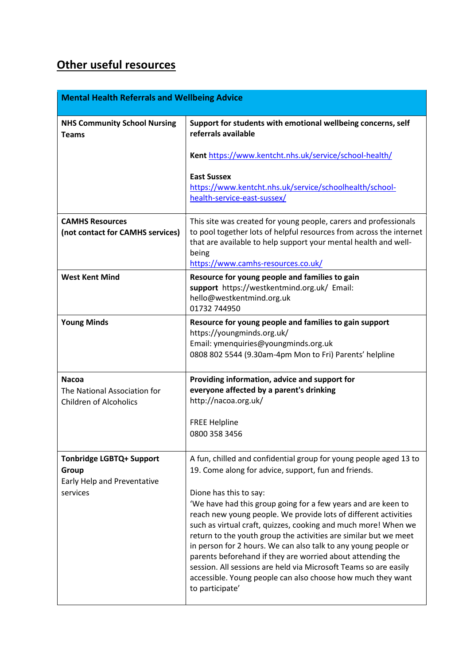## **Other useful resources**

| <b>Mental Health Referrals and Wellbeing Advice</b>                                 |                                                                                                                                                                                                                                                                                                                                                                                                                                                                                                                                                                                                                                                                                                                     |
|-------------------------------------------------------------------------------------|---------------------------------------------------------------------------------------------------------------------------------------------------------------------------------------------------------------------------------------------------------------------------------------------------------------------------------------------------------------------------------------------------------------------------------------------------------------------------------------------------------------------------------------------------------------------------------------------------------------------------------------------------------------------------------------------------------------------|
| <b>NHS Community School Nursing</b><br><b>Teams</b>                                 | Support for students with emotional wellbeing concerns, self<br>referrals available                                                                                                                                                                                                                                                                                                                                                                                                                                                                                                                                                                                                                                 |
|                                                                                     | Kent https://www.kentcht.nhs.uk/service/school-health/                                                                                                                                                                                                                                                                                                                                                                                                                                                                                                                                                                                                                                                              |
|                                                                                     | <b>East Sussex</b><br>https://www.kentcht.nhs.uk/service/schoolhealth/school-<br>health-service-east-sussex/                                                                                                                                                                                                                                                                                                                                                                                                                                                                                                                                                                                                        |
| <b>CAMHS Resources</b><br>(not contact for CAMHS services)                          | This site was created for young people, carers and professionals<br>to pool together lots of helpful resources from across the internet<br>that are available to help support your mental health and well-<br>being<br>https://www.camhs-resources.co.uk/                                                                                                                                                                                                                                                                                                                                                                                                                                                           |
| <b>West Kent Mind</b>                                                               | Resource for young people and families to gain<br>support https://westkentmind.org.uk/ Email:<br>hello@westkentmind.org.uk<br>01732 744950                                                                                                                                                                                                                                                                                                                                                                                                                                                                                                                                                                          |
| <b>Young Minds</b>                                                                  | Resource for young people and families to gain support<br>https://youngminds.org.uk/<br>Email: ymenquiries@youngminds.org.uk<br>0808 802 5544 (9.30am-4pm Mon to Fri) Parents' helpline                                                                                                                                                                                                                                                                                                                                                                                                                                                                                                                             |
| <b>Nacoa</b><br>The National Association for<br><b>Children of Alcoholics</b>       | Providing information, advice and support for<br>everyone affected by a parent's drinking<br>http://nacoa.org.uk/<br><b>FREE Helpline</b><br>0800 358 3456                                                                                                                                                                                                                                                                                                                                                                                                                                                                                                                                                          |
| <b>Tonbridge LGBTQ+ Support</b><br>Group<br>Early Help and Preventative<br>services | A fun, chilled and confidential group for young people aged 13 to<br>19. Come along for advice, support, fun and friends.<br>Dione has this to say:<br>'We have had this group going for a few years and are keen to<br>reach new young people. We provide lots of different activities<br>such as virtual craft, quizzes, cooking and much more! When we<br>return to the youth group the activities are similar but we meet<br>in person for 2 hours. We can also talk to any young people or<br>parents beforehand if they are worried about attending the<br>session. All sessions are held via Microsoft Teams so are easily<br>accessible. Young people can also choose how much they want<br>to participate' |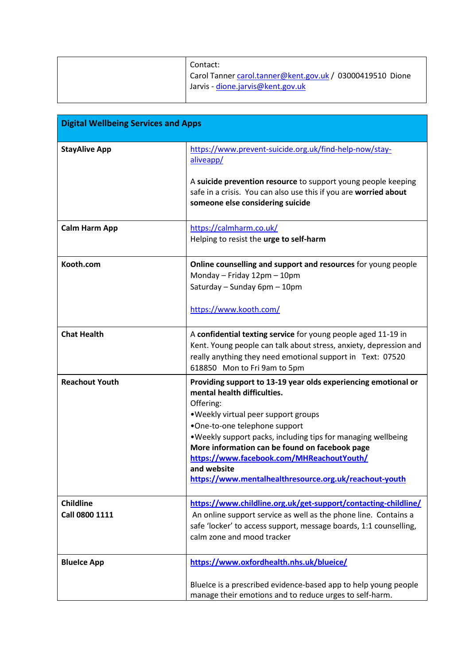| Contact:<br><sup>1</sup> Carol Tanner carol.tanner@kent.gov.uk / 03000419510 Dione<br>Jarvis - dione.jarvis@kent.gov.uk |
|-------------------------------------------------------------------------------------------------------------------------|
|                                                                                                                         |

| <b>Digital Wellbeing Services and Apps</b> |                                                                                                                                                                                                                                                                                                                                                                                                                              |
|--------------------------------------------|------------------------------------------------------------------------------------------------------------------------------------------------------------------------------------------------------------------------------------------------------------------------------------------------------------------------------------------------------------------------------------------------------------------------------|
| <b>StayAlive App</b>                       | https://www.prevent-suicide.org.uk/find-help-now/stay-<br>aliveapp/<br>A suicide prevention resource to support young people keeping<br>safe in a crisis. You can also use this if you are worried about<br>someone else considering suicide                                                                                                                                                                                 |
| <b>Calm Harm App</b>                       | https://calmharm.co.uk/<br>Helping to resist the urge to self-harm                                                                                                                                                                                                                                                                                                                                                           |
| Kooth.com                                  | Online counselling and support and resources for young people<br>Monday - Friday 12pm - 10pm<br>Saturday - Sunday 6pm - 10pm<br>https://www.kooth.com/                                                                                                                                                                                                                                                                       |
| <b>Chat Health</b>                         | A confidential texting service for young people aged 11-19 in<br>Kent. Young people can talk about stress, anxiety, depression and<br>really anything they need emotional support in Text: 07520<br>618850 Mon to Fri 9am to 5pm                                                                                                                                                                                             |
| <b>Reachout Youth</b>                      | Providing support to 13-19 year olds experiencing emotional or<br>mental health difficulties.<br>Offering:<br>. Weekly virtual peer support groups<br>•One-to-one telephone support<br>. Weekly support packs, including tips for managing wellbeing<br>More information can be found on facebook page<br>https://www.facebook.com/MHReachoutYouth/<br>and website<br>https://www.mentalhealthresource.org.uk/reachout-youth |
| <b>Childline</b><br>Call 0800 1111         | https://www.childline.org.uk/get-support/contacting-childline/<br>An online support service as well as the phone line. Contains a<br>safe 'locker' to access support, message boards, 1:1 counselling,<br>calm zone and mood tracker                                                                                                                                                                                         |
| <b>BlueIce App</b>                         | https://www.oxfordhealth.nhs.uk/blueice/<br>BlueIce is a prescribed evidence-based app to help young people<br>manage their emotions and to reduce urges to self-harm.                                                                                                                                                                                                                                                       |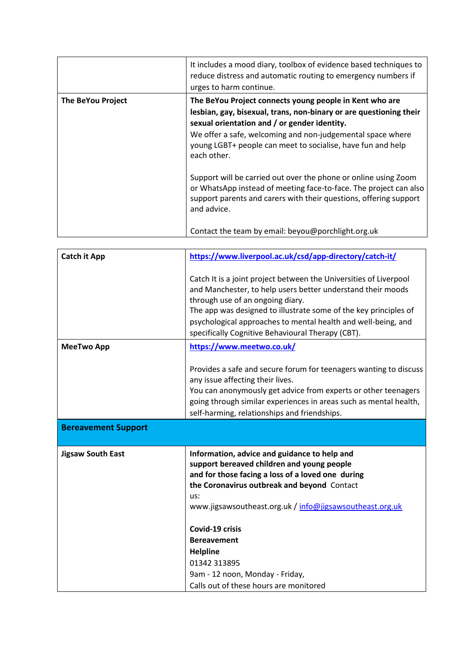|                   | It includes a mood diary, toolbox of evidence based techniques to<br>reduce distress and automatic routing to emergency numbers if<br>urges to harm continue.                                                                                                                                                             |
|-------------------|---------------------------------------------------------------------------------------------------------------------------------------------------------------------------------------------------------------------------------------------------------------------------------------------------------------------------|
| The BeYou Project | The BeYou Project connects young people in Kent who are<br>lesbian, gay, bisexual, trans, non-binary or are questioning their<br>sexual orientation and / or gender identity.<br>We offer a safe, welcoming and non-judgemental space where<br>young LGBT+ people can meet to socialise, have fun and help<br>each other. |
|                   | Support will be carried out over the phone or online using Zoom<br>or WhatsApp instead of meeting face-to-face. The project can also<br>support parents and carers with their questions, offering support<br>and advice.<br>Contact the team by email: beyou@porchlight.org.uk                                            |

| <b>Catch it App</b>        | https://www.liverpool.ac.uk/csd/app-directory/catch-it/                                                                                                                                                                                                                                                                                                        |
|----------------------------|----------------------------------------------------------------------------------------------------------------------------------------------------------------------------------------------------------------------------------------------------------------------------------------------------------------------------------------------------------------|
|                            | Catch It is a joint project between the Universities of Liverpool<br>and Manchester, to help users better understand their moods<br>through use of an ongoing diary.<br>The app was designed to illustrate some of the key principles of<br>psychological approaches to mental health and well-being, and<br>specifically Cognitive Behavioural Therapy (CBT). |
| <b>MeeTwo App</b>          | https://www.meetwo.co.uk/                                                                                                                                                                                                                                                                                                                                      |
|                            | Provides a safe and secure forum for teenagers wanting to discuss<br>any issue affecting their lives.<br>You can anonymously get advice from experts or other teenagers<br>going through similar experiences in areas such as mental health,<br>self-harming, relationships and friendships.                                                                   |
| <b>Bereavement Support</b> |                                                                                                                                                                                                                                                                                                                                                                |
| <b>Jigsaw South East</b>   | Information, advice and guidance to help and<br>support bereaved children and young people<br>and for those facing a loss of a loved one during<br>the Coronavirus outbreak and beyond Contact<br>us:<br>www.jigsawsoutheast.org.uk / info@jigsawsoutheast.org.uk                                                                                              |
|                            | Covid-19 crisis                                                                                                                                                                                                                                                                                                                                                |
|                            | <b>Bereavement</b>                                                                                                                                                                                                                                                                                                                                             |
|                            | <b>Helpline</b><br>01342 313895                                                                                                                                                                                                                                                                                                                                |
|                            | 9am - 12 noon, Monday - Friday,                                                                                                                                                                                                                                                                                                                                |
|                            | Calls out of these hours are monitored                                                                                                                                                                                                                                                                                                                         |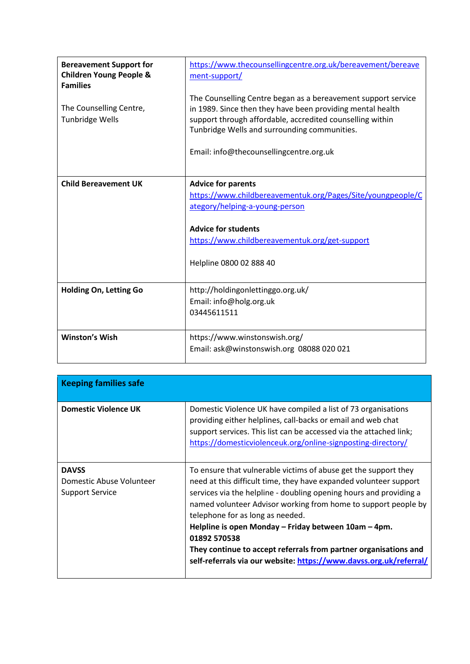| <b>Bereavement Support for</b><br><b>Children Young People &amp;</b><br><b>Families</b> | https://www.thecounsellingcentre.org.uk/bereavement/bereave<br>ment-support/                                                                                                                                                                                                        |
|-----------------------------------------------------------------------------------------|-------------------------------------------------------------------------------------------------------------------------------------------------------------------------------------------------------------------------------------------------------------------------------------|
| The Counselling Centre,<br><b>Tunbridge Wells</b>                                       | The Counselling Centre began as a bereavement support service<br>in 1989. Since then they have been providing mental health<br>support through affordable, accredited counselling within<br>Tunbridge Wells and surrounding communities.<br>Email: info@thecounsellingcentre.org.uk |
| <b>Child Bereavement UK</b>                                                             | <b>Advice for parents</b><br>https://www.childbereavementuk.org/Pages/Site/youngpeople/C<br>ategory/helping-a-young-person                                                                                                                                                          |
|                                                                                         | <b>Advice for students</b><br>https://www.childbereavementuk.org/get-support<br>Helpline 0800 02 888 40                                                                                                                                                                             |
| <b>Holding On, Letting Go</b>                                                           | http://holdingonlettinggo.org.uk/<br>Email: info@holg.org.uk<br>03445611511                                                                                                                                                                                                         |
| <b>Winston's Wish</b>                                                                   | https://www.winstonswish.org/<br>Email: ask@winstonswish.org 08088 020 021                                                                                                                                                                                                          |

| <b>Keeping families safe</b>                                |                                                                                                                                                                                                                                                                                                                                                                                                                                                                                                                                    |
|-------------------------------------------------------------|------------------------------------------------------------------------------------------------------------------------------------------------------------------------------------------------------------------------------------------------------------------------------------------------------------------------------------------------------------------------------------------------------------------------------------------------------------------------------------------------------------------------------------|
| <b>Domestic Violence UK</b>                                 | Domestic Violence UK have compiled a list of 73 organisations<br>providing either helplines, call-backs or email and web chat<br>support services. This list can be accessed via the attached link;<br>https://domesticviolenceuk.org/online-signposting-directory/                                                                                                                                                                                                                                                                |
| <b>DAVSS</b><br>Domestic Abuse Volunteer<br>Support Service | To ensure that vulnerable victims of abuse get the support they<br>need at this difficult time, they have expanded volunteer support<br>services via the helpline - doubling opening hours and providing a<br>named volunteer Advisor working from home to support people by<br>telephone for as long as needed.<br>Helpline is open Monday – Friday between 10am – 4pm.<br>01892 570538<br>They continue to accept referrals from partner organisations and<br>self-referrals via our website: https://www.davss.org.uk/referral/ |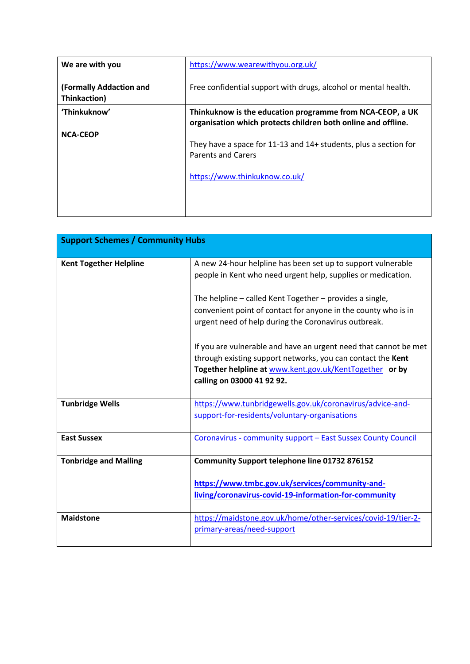| We are with you                         | https://www.wearewithyou.org.uk/                                                                                               |
|-----------------------------------------|--------------------------------------------------------------------------------------------------------------------------------|
| (Formally Addaction and<br>Thinkaction) | Free confidential support with drugs, alcohol or mental health.                                                                |
| 'Thinkuknow'                            | Thinkuknow is the education programme from NCA-CEOP, a UK<br>organisation which protects children both online and offline.     |
| <b>NCA-CEOP</b>                         | They have a space for 11-13 and 14+ students, plus a section for<br><b>Parents and Carers</b><br>https://www.thinkuknow.co.uk/ |

| <b>Support Schemes / Community Hubs</b> |                                                                                                                                                                                                                          |
|-----------------------------------------|--------------------------------------------------------------------------------------------------------------------------------------------------------------------------------------------------------------------------|
| <b>Kent Together Helpline</b>           | A new 24-hour helpline has been set up to support vulnerable<br>people in Kent who need urgent help, supplies or medication.                                                                                             |
|                                         | The helpline – called Kent Together – provides a single,<br>convenient point of contact for anyone in the county who is in<br>urgent need of help during the Coronavirus outbreak.                                       |
|                                         | If you are vulnerable and have an urgent need that cannot be met<br>through existing support networks, you can contact the Kent<br>Together helpline at www.kent.gov.uk/KentTogether or by<br>calling on 03000 41 92 92. |
| <b>Tunbridge Wells</b>                  | https://www.tunbridgewells.gov.uk/coronavirus/advice-and-<br>support-for-residents/voluntary-organisations                                                                                                               |
| <b>East Sussex</b>                      | Coronavirus - community support - East Sussex County Council                                                                                                                                                             |
| <b>Tonbridge and Malling</b>            | Community Support telephone line 01732 876152<br>https://www.tmbc.gov.uk/services/community-and-                                                                                                                         |
|                                         | living/coronavirus-covid-19-information-for-community                                                                                                                                                                    |
| <b>Maidstone</b>                        | https://maidstone.gov.uk/home/other-services/covid-19/tier-2-<br>primary-areas/need-support                                                                                                                              |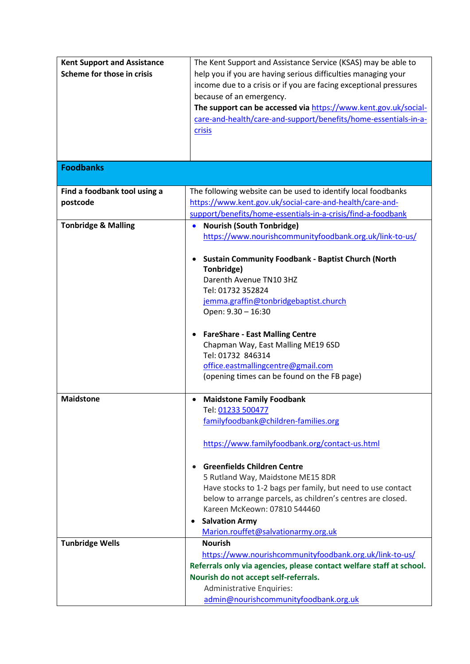| <b>Kent Support and Assistance</b> | The Kent Support and Assistance Service (KSAS) may be able to        |
|------------------------------------|----------------------------------------------------------------------|
| Scheme for those in crisis         | help you if you are having serious difficulties managing your        |
|                                    | income due to a crisis or if you are facing exceptional pressures    |
|                                    | because of an emergency.                                             |
|                                    | The support can be accessed via https://www.kent.gov.uk/social-      |
|                                    |                                                                      |
|                                    | care-and-health/care-and-support/benefits/home-essentials-in-a-      |
|                                    | crisis                                                               |
|                                    |                                                                      |
|                                    |                                                                      |
| <b>Foodbanks</b>                   |                                                                      |
|                                    |                                                                      |
| Find a foodbank tool using a       | The following website can be used to identify local foodbanks        |
| postcode                           | https://www.kent.gov.uk/social-care-and-health/care-and-             |
|                                    | support/benefits/home-essentials-in-a-crisis/find-a-foodbank         |
| <b>Tonbridge &amp; Malling</b>     | <b>Nourish (South Tonbridge)</b><br>$\bullet$                        |
|                                    | https://www.nourishcommunityfoodbank.org.uk/link-to-us/              |
|                                    |                                                                      |
|                                    | <b>Sustain Community Foodbank - Baptist Church (North</b>            |
|                                    | Tonbridge)                                                           |
|                                    | Darenth Avenue TN10 3HZ                                              |
|                                    | Tel: 01732 352824                                                    |
|                                    | jemma.graffin@tonbridgebaptist.church                                |
|                                    | Open: 9.30 - 16:30                                                   |
|                                    |                                                                      |
|                                    | <b>FareShare - East Malling Centre</b>                               |
|                                    | Chapman Way, East Malling ME19 6SD                                   |
|                                    | Tel: 01732 846314                                                    |
|                                    | office.eastmallingcentre@gmail.com                                   |
|                                    | (opening times can be found on the FB page)                          |
| <b>Maidstone</b>                   |                                                                      |
|                                    | <b>Maidstone Family Foodbank</b><br>Tel: 01233 500477                |
|                                    | familyfoodbank@children-families.org                                 |
|                                    |                                                                      |
|                                    | https://www.familyfoodbank.org/contact-us.html                       |
|                                    |                                                                      |
|                                    | <b>Greenfields Children Centre</b>                                   |
|                                    | 5 Rutland Way, Maidstone ME15 8DR                                    |
|                                    | Have stocks to 1-2 bags per family, but need to use contact          |
|                                    | below to arrange parcels, as children's centres are closed.          |
|                                    | Kareen McKeown: 07810 544460                                         |
|                                    | <b>Salvation Army</b>                                                |
|                                    | Marion.rouffet@salvationarmy.org.uk                                  |
| <b>Tunbridge Wells</b>             | <b>Nourish</b>                                                       |
|                                    | https://www.nourishcommunityfoodbank.org.uk/link-to-us/              |
|                                    | Referrals only via agencies, please contact welfare staff at school. |
|                                    | Nourish do not accept self-referrals.                                |
|                                    | Administrative Enquiries:                                            |
|                                    | admin@nourishcommunityfoodbank.org.uk                                |
|                                    |                                                                      |